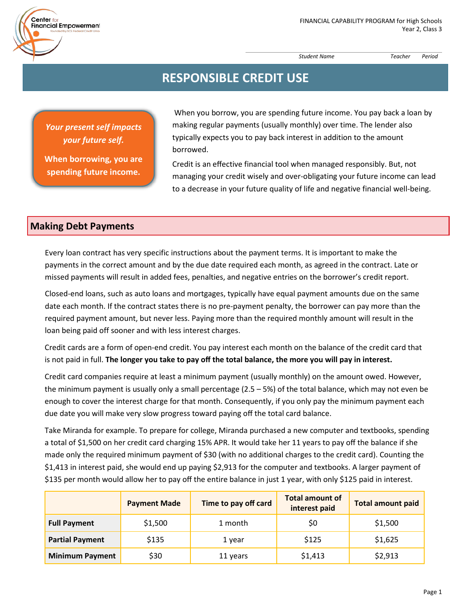*Student Name Teacher Period*

# **RESPONSIBLE CREDIT USE**

*Your present self impacts your future self.* 

 $Center<sub>fo</sub>$ 

Financial Empowerment

**When borrowing, you are spending future income.**

When you borrow, you are spending future income. You pay back a loan by making regular payments (usually monthly) over time. The lender also typically expects you to pay back interest in addition to the amount borrowed.

Credit is an effective financial tool when managed responsibly. But, not managing your credit wisely and over‐obligating your future income can lead to a decrease in your future quality of life and negative financial well‐being.

#### **Making Debt Payments**

Every loan contract has very specific instructions about the payment terms. It is important to make the payments in the correct amount and by the due date required each month, as agreed in the contract. Late or missed payments will result in added fees, penalties, and negative entries on the borrower's credit report.

Closed-end loans, such as auto loans and mortgages, typically have equal payment amounts due on the same date each month. If the contract states there is no pre-payment penalty, the borrower can pay more than the required payment amount, but never less. Paying more than the required monthly amount will result in the loan being paid off sooner and with less interest charges.

Credit cards are a form of open‐end credit. You pay interest each month on the balance of the credit card that is not paid in full. **The longer you take to pay off the total balance, the more you will pay in interest.**

Credit card companies require at least a minimum payment (usually monthly) on the amount owed. However, the minimum payment is usually only a small percentage (2.5 – 5%) of the total balance, which may not even be enough to cover the interest charge for that month. Consequently, if you only pay the minimum payment each due date you will make very slow progress toward paying off the total card balance.

Take Miranda for example. To prepare for college, Miranda purchased a new computer and textbooks, spending a total of \$1,500 on her credit card charging 15% APR. It would take her 11 years to pay off the balance if she made only the required minimum payment of \$30 (with no additional charges to the credit card). Counting the \$1,413 in interest paid, she would end up paying \$2,913 for the computer and textbooks. A larger payment of \$135 per month would allow her to pay off the entire balance in just 1 year, with only \$125 paid in interest.

|                        | <b>Payment Made</b> | Time to pay off card | <b>Total amount of</b><br>interest paid | <b>Total amount paid</b> |
|------------------------|---------------------|----------------------|-----------------------------------------|--------------------------|
| <b>Full Payment</b>    | \$1,500             | 1 month              | \$0                                     | \$1,500                  |
| <b>Partial Payment</b> | \$135               | 1 year               | \$125                                   | \$1,625                  |
| <b>Minimum Payment</b> | \$30                | 11 years             | \$1,413                                 | \$2,913                  |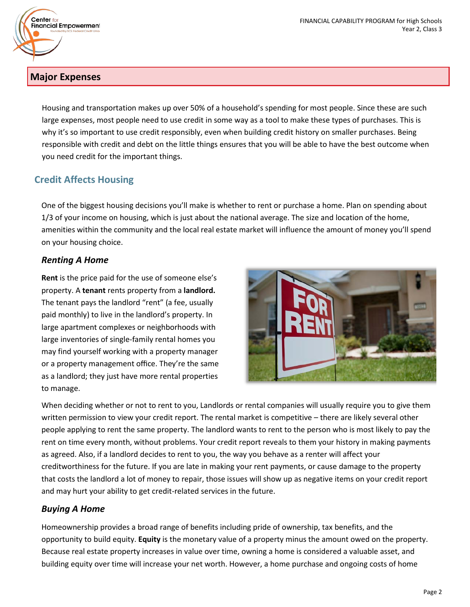



## **Major Expenses**

Housing and transportation makes up over 50% of a household's spending for most people. Since these are such large expenses, most people need to use credit in some way as a tool to make these types of purchases. This is why it's so important to use credit responsibly, even when building credit history on smaller purchases. Being responsible with credit and debt on the little things ensures that you will be able to have the best outcome when you need credit for the important things.

## **Credit Affects Housing**

One of the biggest housing decisions you'll make is whether to rent or purchase a home. Plan on spending about 1/3 of your income on housing, which is just about the national average. The size and location of the home, amenities within the community and the local real estate market will influence the amount of money you'll spend on your housing choice.

#### *Renting A Home*

**Rent** is the price paid for the use of someone else's property. A **tenant** rents property from a **landlord.**  The tenant pays the landlord "rent" (a fee, usually paid monthly) to live in the landlord's property. In large apartment complexes or neighborhoods with large inventories of single‐family rental homes you may find yourself working with a property manager or a property management office. They're the same as a landlord; they just have more rental properties to manage.



When deciding whether or not to rent to you, Landlords or rental companies will usually require you to give them written permission to view your credit report. The rental market is competitive – there are likely several other people applying to rent the same property. The landlord wants to rent to the person who is most likely to pay the rent on time every month, without problems. Your credit report reveals to them your history in making payments as agreed. Also, if a landlord decides to rent to you, the way you behave as a renter will affect your creditworthiness for the future. If you are late in making your rent payments, or cause damage to the property that costs the landlord a lot of money to repair, those issues will show up as negative items on your credit report and may hurt your ability to get credit-related services in the future.

### *Buying A Home*

Homeownership provides a broad range of benefits including pride of ownership, tax benefits, and the opportunity to build equity. **Equity** is the monetary value of a property minus the amount owed on the property. Because real estate property increases in value over time, owning a home is considered a valuable asset, and building equity over time will increase your net worth. However, a home purchase and ongoing costs of home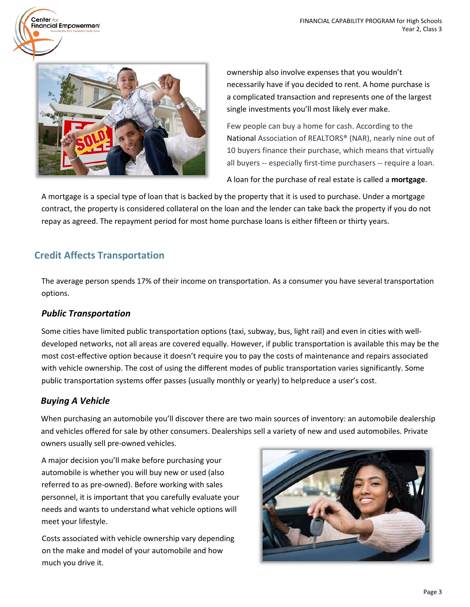

 $Center<sub>fo</sub>$ 

Financial Empowerment

ownership also involve expenses that you wouldn't necessarily have if you decided to rent. A home purchase is a complicated transaction and represents one of the largest single investments you'll most likely ever make.

Few people can buy a home for cash. According to the National Association of REALTORS® (NAR), nearly nine out of 10 buyers finance their purchase, which means that virtually all buyers -- especially first-time purchasers -- require a loan.

A loan for the purchase of real estate is called a **mortgage**.

A mortgage is a special type of loan that is backed by the property that it is used to purchase. Under a mortgage contract, the property is considered collateral on the loan and the lender can take back the property if you do not repay as agreed. The repayment period for most home purchase loans is either fifteen or thirty years.

## **Credit Affects Transportation**

The average person spends 17% of their income on transportation. As a consumer you have several transportation options.

### *Public Transportation*

Some cities have limited public transportation options (taxi, subway, bus, light rail) and even in cities with well‐ developed networks, not all areas are covered equally. However, if public transportation is available this may be the most cost‐effective option because it doesn't require you to pay the costs of maintenance and repairs associated with vehicle ownership. The cost of using the different modes of public transportation varies significantly. Some public transportation systems offer passes (usually monthly or yearly) to helpreduce a user's cost.

## *Buying A Vehicle*

When purchasing an automobile you'll discover there are two main sources of inventory: an automobile dealership and vehicles offered for sale by other consumers. Dealerships sell a variety of new and used automobiles. Private owners usually sell pre‐owned vehicles.

A major decision you'll make before purchasing your automobile is whether you will buy new or used (also referred to as pre‐owned). Before working with sales personnel, it is important that you carefully evaluate your needs and wants to understand what vehicle options will meet your lifestyle.

Costs associated with vehicle ownership vary depending on the make and model of your automobile and how much you drive it.

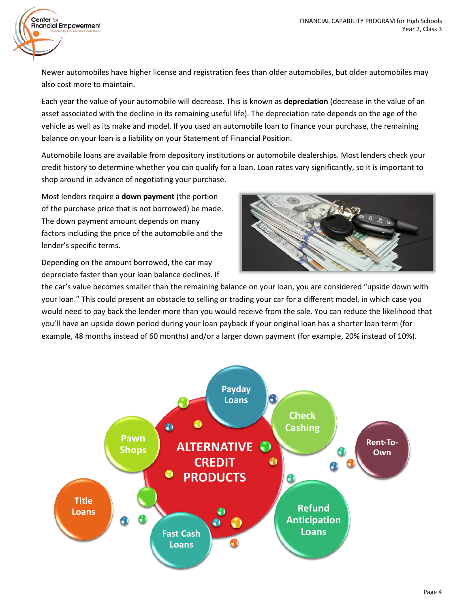Newer automobiles have higher license and registration fees than older automobiles, but older automobiles may also cost more to maintain.

Each year the value of your automobile will decrease. This is known as **depreciation** (decrease in the value of an asset associated with the decline in its remaining useful life). The depreciation rate depends on the age of the vehicle as well as its make and model. If you used an automobile loan to finance your purchase, the remaining balance on your loan is a liability on your Statement of Financial Position.

Automobile loans are available from depository institutions or automobile dealerships. Most lenders check your credit history to determine whether you can qualify for a loan. Loan rates vary significantly, so it is important to shop around in advance of negotiating your purchase.

Most lenders require a **down payment** (the portion of the purchase price that is not borrowed) be made. The down payment amount depends on many factors including the price of the automobile and the lender's specific terms.

Center for

**Financial Empowerment** 

Depending on the amount borrowed, the car may depreciate faster than your loan balance declines. If



the car's value becomes smaller than the remaining balance on your loan, you are considered "upside down with your loan." This could present an obstacle to selling or trading your car for a different model, in which case you would need to pay back the lender more than you would receive from the sale. You can reduce the likelihood that you'll have an upside down period during your loan payback if your original loan has a shorter loan term (for example, 48 months instead of 60 months) and/or a larger down payment (for example, 20% instead of 10%).

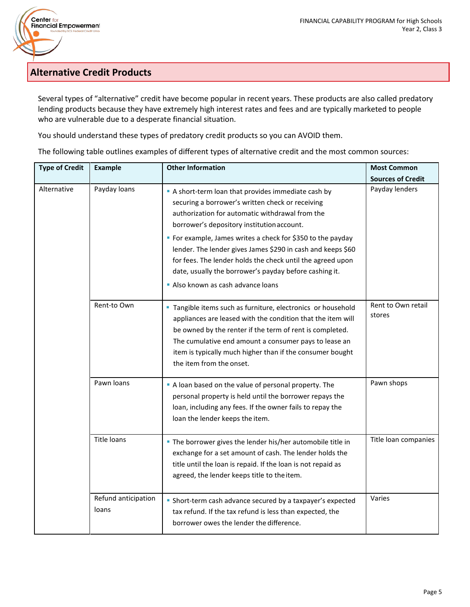## **Alternative Credit Products**

**Center for<br>Financial Empowerment** 

Several types of "alternative" credit have become popular in recent years. These products are also called predatory lending products because they have extremely high interest rates and fees and are typically marketed to people who are vulnerable due to a desperate financial situation.

You should understand these types of predatory credit products so you can AVOID them.

The following table outlines examples of different types of alternative credit and the most common sources:

| <b>Type of Credit</b> | <b>Example</b>               | <b>Other Information</b>                                                                                                                                                                                                                                                                                                                                                                                                                                                                         | <b>Most Common</b>           |
|-----------------------|------------------------------|--------------------------------------------------------------------------------------------------------------------------------------------------------------------------------------------------------------------------------------------------------------------------------------------------------------------------------------------------------------------------------------------------------------------------------------------------------------------------------------------------|------------------------------|
|                       |                              |                                                                                                                                                                                                                                                                                                                                                                                                                                                                                                  | <b>Sources of Credit</b>     |
| Alternative           | Payday loans                 | A short-term loan that provides immediate cash by<br>securing a borrower's written check or receiving<br>authorization for automatic withdrawal from the<br>borrower's depository institution account.<br>• For example, James writes a check for \$350 to the payday<br>lender. The lender gives James \$290 in cash and keeps \$60<br>for fees. The lender holds the check until the agreed upon<br>date, usually the borrower's payday before cashing it.<br>Also known as cash advance loans | Payday lenders               |
|                       | Rent-to Own                  | " Tangible items such as furniture, electronics or household<br>appliances are leased with the condition that the item will<br>be owned by the renter if the term of rent is completed.<br>The cumulative end amount a consumer pays to lease an<br>item is typically much higher than if the consumer bought<br>the item from the onset.                                                                                                                                                        | Rent to Own retail<br>stores |
|                       | Pawn loans                   | A loan based on the value of personal property. The<br>personal property is held until the borrower repays the<br>loan, including any fees. If the owner fails to repay the<br>loan the lender keeps the item.                                                                                                                                                                                                                                                                                   | Pawn shops                   |
|                       | <b>Title loans</b>           | • The borrower gives the lender his/her automobile title in<br>exchange for a set amount of cash. The lender holds the<br>title until the loan is repaid. If the loan is not repaid as<br>agreed, the lender keeps title to the item.                                                                                                                                                                                                                                                            | Title loan companies         |
|                       | Refund anticipation<br>loans | • Short-term cash advance secured by a taxpayer's expected<br>tax refund. If the tax refund is less than expected, the<br>borrower owes the lender the difference.                                                                                                                                                                                                                                                                                                                               | Varies                       |